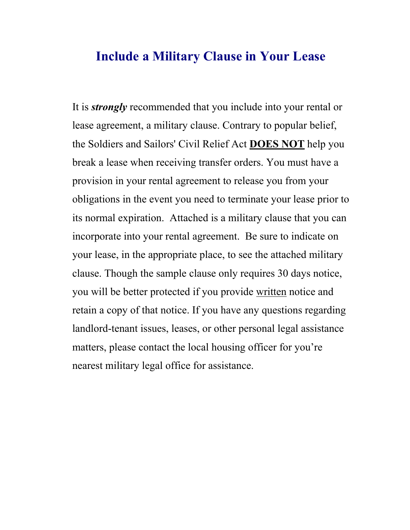## **Include a Military Clause in Your Lease**

It is *strongly* recommended that you include into your rental or lease agreement, a military clause. Contrary to popular belief, the Soldiers and Sailors' Civil Relief Act **DOES NOT** help you break a lease when receiving transfer orders. You must have a provision in your rental agreement to release you from your obligations in the event you need to terminate your lease prior to its normal expiration. Attached is a military clause that you can incorporate into your rental agreement. Be sure to indicate on your lease, in the appropriate place, to see the attached military clause. Though the sample clause only requires 30 days notice, you will be better protected if you provide written notice and retain a copy of that notice. If you have any questions regarding landlord-tenant issues, leases, or other personal legal assistance matters, please contact the local housing officer for you're nearest military legal office for assistance.